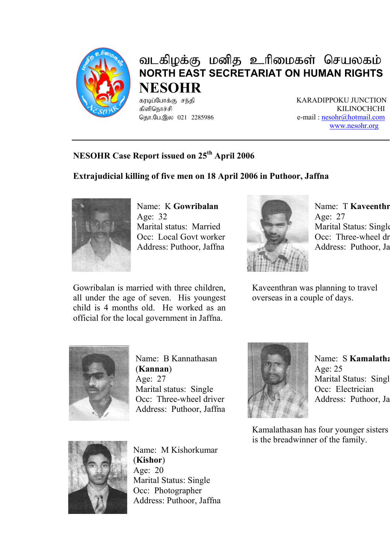

# வடகிழக்கு மனித உரிமைகள் செயலகம் **NORTH EAST SECRETARIAT ON HUMAN RIGHTS NESOHR**

fubg;Nghf;F re;jp KARADIPPOKU JUNCTION fpspnehr;rp KILINOCHCHI e-mail : nesohr@hotmail.com www.nesohr.org

## **NESOHR Case Report issued on 25th April 2006**

## **Extrajudicial killing of five men on 18 April 2006 in Puthoor, Jaffna**



Name: K **Gowribalan** Age: 32 Marital status: Married Occ: Local Govt worker Address: Puthoor, Jaffna

Gowribalan is married with three children, all under the age of seven. His youngest child is 4 months old. He worked as an official for the local government in Jaffna.



Name: T **Kaveenthr** Age: 27 Marital Status: Single Occ: Three-wheel dr Address: Puthoor, Ja

Kaveenthran was planning to travel overseas in a couple of days.



Name: B Kannathasan (**Kannan**) Age: 27 Marital status: Single Occ: Three-wheel driver Address: Puthoor, Jaffna



Name: S **Kamalatha** Age: 25 Marital Status: Singl Occ: Electrician Address: Puthoor, Ja

Kamalathasan has four younger sisters is the breadwinner of the family.



Name: M Kishorkumar (**Kishor**) Age: 20 Marital Status: Single Occ: Photographer Address: Puthoor, Jaffna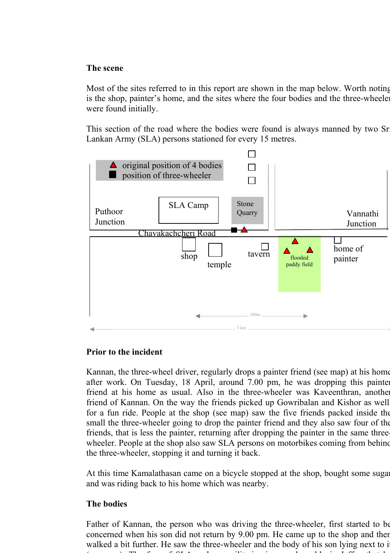#### **The scene**

Most of the sites referred to in this report are shown in the map below. Worth noting is the shop, painter's home, and the sites where the four bodies and the three-wheeler were found initially.

This section of the road where the bodies were found is always manned by two Sr Lankan Army (SLA) persons stationed for every 15 metres.



#### **Prior to the incident**

Kannan, the three-wheel driver, regularly drops a painter friend (see map) at his home after work. On Tuesday, 18 April, around 7.00 pm, he was dropping this painter friend at his home as usual. Also in the three-wheeler was Kaveenthran, another friend of Kannan. On the way the friends picked up Gowribalan and Kishor as well for a fun ride. People at the shop (see map) saw the five friends packed inside the small the three-wheeler going to drop the painter friend and they also saw four of the friends, that is less the painter, returning after dropping the painter in the same threewheeler. People at the shop also saw SLA persons on motorbikes coming from behind the three-wheeler, stopping it and turning it back.

At this time Kamalathasan came on a bicycle stopped at the shop, bought some sugar and was riding back to his home which was nearby.

### **The bodies**

Father of Kannan, the person who was driving the three-wheeler, first started to be concerned when his son did not return by 9.00 pm. He came up to the shop and then walked a bit further. He saw the three-wheeler and the body of his son lying next to i  $($   $\sqrt{m}$  f f f  $\sqrt{m}$  f  $\sqrt{m}$  f  $\sqrt{m}$  f  $\sqrt{m}$  f  $\sqrt{m}$  f  $\sqrt{m}$  f  $\sqrt{m}$  f  $\sqrt{m}$  f  $\sqrt{m}$  f  $\sqrt{m}$  f  $\sqrt{m}$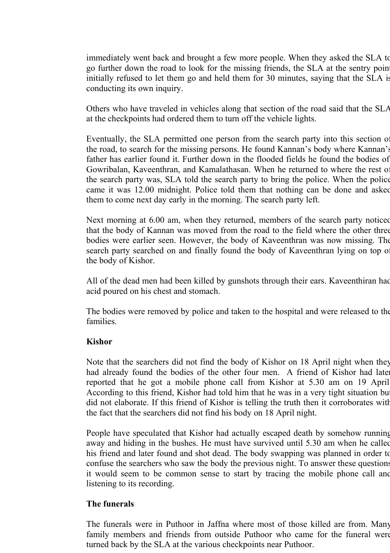immediately went back and brought a few more people. When they asked the SLA to go further down the road to look for the missing friends, the SLA at the sentry point initially refused to let them go and held them for 30 minutes, saying that the SLA is conducting its own inquiry.

Others who have traveled in vehicles along that section of the road said that the SLA at the checkpoints had ordered them to turn off the vehicle lights.

Eventually, the SLA permitted one person from the search party into this section of the road, to search for the missing persons. He found Kannan's body where Kannan's father has earlier found it. Further down in the flooded fields he found the bodies of Gowribalan, Kaveenthran, and Kamalathasan. When he returned to where the rest of the search party was, SLA told the search party to bring the police. When the police came it was 12.00 midnight. Police told them that nothing can be done and asked them to come next day early in the morning. The search party left.

Next morning at 6.00 am, when they returned, members of the search party noticed that the body of Kannan was moved from the road to the field where the other three bodies were earlier seen. However, the body of Kaveenthran was now missing. The search party searched on and finally found the body of Kaveenthran lying on top of the body of Kishor.

All of the dead men had been killed by gunshots through their ears. Kaveenthiran had acid poured on his chest and stomach.

The bodies were removed by police and taken to the hospital and were released to the families.

#### **Kishor**

Note that the searchers did not find the body of Kishor on 18 April night when they had already found the bodies of the other four men. A friend of Kishor had late reported that he got a mobile phone call from Kishor at 5.30 am on 19 April According to this friend, Kishor had told him that he was in a very tight situation bu did not elaborate. If this friend of Kishor is telling the truth then it corroborates with the fact that the searchers did not find his body on 18 April night.

People have speculated that Kishor had actually escaped death by somehow running away and hiding in the bushes. He must have survived until 5.30 am when he called his friend and later found and shot dead. The body swapping was planned in order to confuse the searchers who saw the body the previous night. To answer these questions it would seem to be common sense to start by tracing the mobile phone call and listening to its recording.

#### **The funerals**

The funerals were in Puthoor in Jaffna where most of those killed are from. Many family members and friends from outside Puthoor who came for the funeral were turned back by the SLA at the various checkpoints near Puthoor.